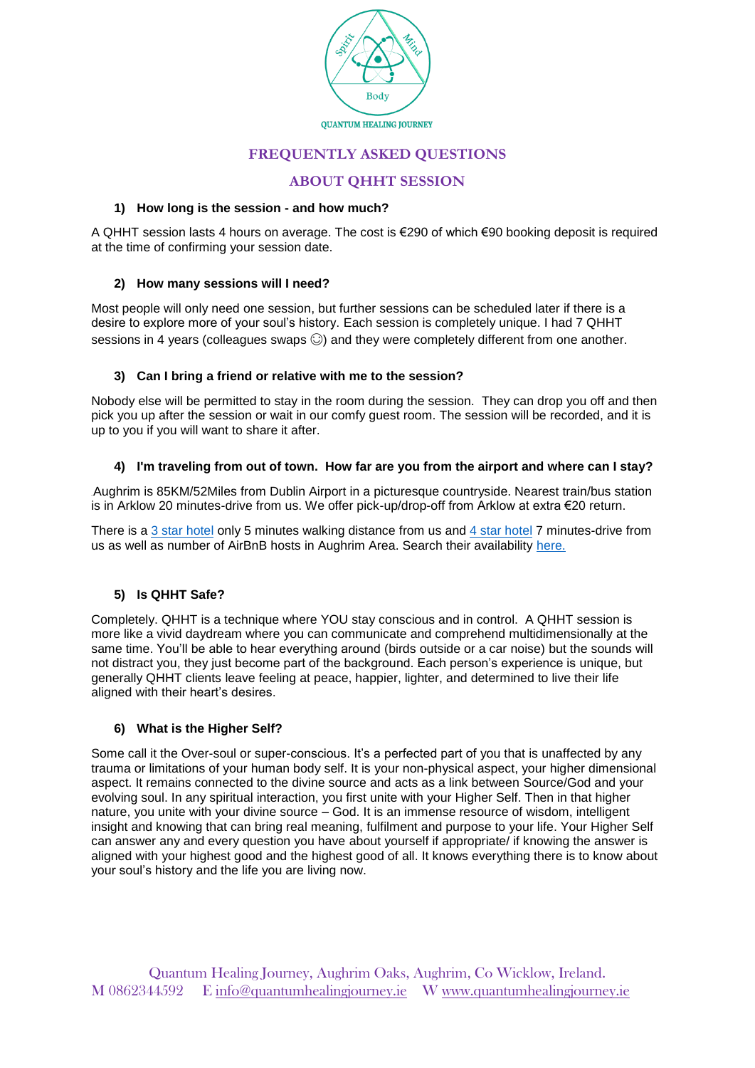

# **FREQUENTLY ASKED QUESTIONS**

# **ABOUT QHHT SESSION**

#### **1) How long is the session - and how much?**

A QHHT session lasts 4 hours on average. The cost is €290 of which €90 booking deposit is required at the time of confirming your session date.

## **2) How many sessions will I need?**

Most people will only need one session, but further sessions can be scheduled later if there is a desire to explore more of your soul's history. Each session is completely unique. I had 7 QHHT sessions in 4 years (colleagues swaps  $\odot$ ) and they were completely different from one another.

#### **3) Can I bring a friend or relative with me to the session?**

Nobody else will be permitted to stay in the room during the session. They can drop you off and then pick you up after the session or wait in our comfy guest room. The session will be recorded, and it is up to you if you will want to share it after.

#### **4) I'm traveling from out of town. How far are you from the airport and where can I stay?**

Aughrim is 85KM/52Miles from Dublin Airport in a picturesque countryside. Nearest train/bus station is in Arklow 20 minutes-drive from us. We offer pick-up/drop-off from Arklow at extra €20 return.

There is a [3 star hotel](http://lawlesshotel.ie/) only 5 minutes walking distance from us and [4 star hotel](https://www.brooklodge.com/en/) 7 minutes-drive from us as well as number of AirBnB hosts in Aughrim Area. Search their availability [here.](https://www.airbnb.com/)

## **5) Is QHHT Safe?**

Completely. QHHT is a technique where YOU stay conscious and in control. A QHHT session is more like a vivid daydream where you can communicate and comprehend multidimensionally at the same time. You'll be able to hear everything around (birds outside or a car noise) but the sounds will not distract you, they just become part of the background. Each person's experience is unique, but generally QHHT clients leave feeling at peace, happier, lighter, and determined to live their life aligned with their heart's desires.

## **6) What is the Higher Self?**

Some call it the Over-soul or super-conscious. It's a perfected part of you that is unaffected by any trauma or limitations of your human body self. It is your non-physical aspect, your higher dimensional aspect. It remains connected to the divine source and acts as a link between Source/God and your evolving soul. In any spiritual interaction, you first unite with your Higher Self. Then in that higher nature, you unite with your divine source – God. It is an immense resource of wisdom, intelligent insight and knowing that can bring real meaning, fulfilment and purpose to your life. Your Higher Self can answer any and every question you have about yourself if appropriate/ if knowing the answer is aligned with your highest good and the highest good of all. It knows everything there is to know about your soul's history and the life you are living now.